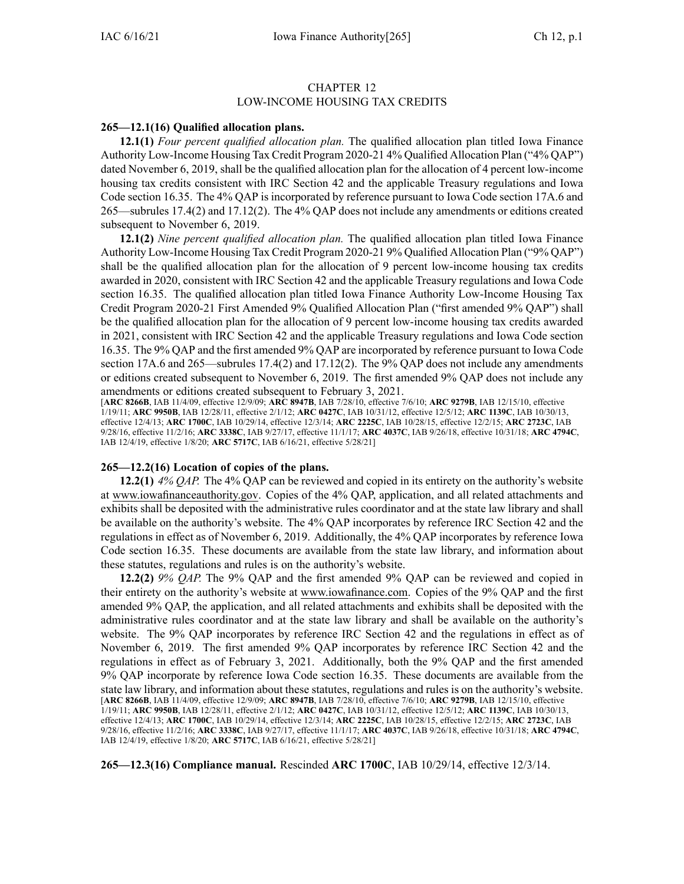## CHAPTER 12

## LOW-INCOME HOUSING TAX CREDITS

## **265—12.1(16) Qualified allocation plans.**

**12.1(1)** *Four percen<sup>t</sup> qualified allocation plan.* The qualified allocation plan titled Iowa Finance Authority Low-Income Housing Tax Credit Program 2020-21 4% Qualified Allocation Plan ("4% QAP") dated November 6, 2019, shall be the qualified allocation plan for the allocation of 4 percen<sup>t</sup> low-income housing tax credits consistent with IRC Section 42 and the applicable Treasury regulations and Iowa Code section [16.35](https://www.legis.iowa.gov/docs/ico/section/16.35.pdf). The 4% QAP is incorporated by reference pursuan<sup>t</sup> to Iowa Code section [17A.6](https://www.legis.iowa.gov/docs/ico/section/17A.6.pdf) and [265—subrules](https://www.legis.iowa.gov/docs/iac/rule/265.17.4.pdf) 17.4(2) and [17.12\(2\)](https://www.legis.iowa.gov/docs/iac/rule/265.17.12.pdf). The 4% QAP does not include any amendments or editions created subsequent to November 6, 2019.

**12.1(2)** *Nine percen<sup>t</sup> qualified allocation plan.* The qualified allocation plan titled Iowa Finance Authority Low-Income Housing Tax Credit Program 2020-21 9% Qualified Allocation Plan ("9% QAP") shall be the qualified allocation plan for the allocation of 9 percen<sup>t</sup> low-income housing tax credits awarded in 2020, consistent with IRC Section 42 and the applicable Treasury regulations and Iowa Code section [16.35](https://www.legis.iowa.gov/docs/ico/section/16.35.pdf). The qualified allocation plan titled Iowa Finance Authority Low-Income Housing Tax Credit Program 2020-21 First Amended 9% Qualified Allocation Plan ("first amended 9% QAP") shall be the qualified allocation plan for the allocation of 9 percen<sup>t</sup> low-income housing tax credits awarded in 2021, consistent with IRC Section 42 and the applicable Treasury regulations and Iowa Code section 16.35. The 9% QAP and the first amended 9% QAP are incorporated by reference pursuan<sup>t</sup> to Iowa Code section [17A.6](https://www.legis.iowa.gov/docs/ico/section/17A.6.pdf) and [265—subrules](https://www.legis.iowa.gov/docs/iac/rule/265.17.4.pdf) 17.4(2) and [17.12\(2\)](https://www.legis.iowa.gov/docs/iac/rule/276.17.12.pdf). The 9% QAP does not include any amendments or editions created subsequent to November 6, 2019. The first amended 9% QAP does not include any amendments or editions created subsequent to February 3, 2021.

[**ARC [8266B](https://www.legis.iowa.gov/docs/aco/arc/8266B.pdf)**, IAB 11/4/09, effective 12/9/09; **ARC [8947B](https://www.legis.iowa.gov/docs/aco/arc/8947B.pdf)**, IAB 7/28/10, effective 7/6/10; **ARC [9279B](https://www.legis.iowa.gov/docs/aco/arc/9279B.pdf)**, IAB 12/15/10, effective 1/19/11; **ARC [9950B](https://www.legis.iowa.gov/docs/aco/arc/9950B.pdf)**, IAB 12/28/11, effective 2/1/12; **ARC [0427C](https://www.legis.iowa.gov/docs/aco/arc/0427C.pdf)**, IAB 10/31/12, effective 12/5/12; **ARC [1139C](https://www.legis.iowa.gov/docs/aco/arc/1139C.pdf)**, IAB 10/30/13, effective 12/4/13; **ARC [1700C](https://www.legis.iowa.gov/docs/aco/arc/1700C.pdf)**, IAB 10/29/14, effective 12/3/14; **ARC [2225C](https://www.legis.iowa.gov/docs/aco/arc/2225C.pdf)**, IAB 10/28/15, effective 12/2/15; **ARC [2723C](https://www.legis.iowa.gov/docs/aco/arc/2723C.pdf)**, IAB 9/28/16, effective 11/2/16; **ARC [3338C](https://www.legis.iowa.gov/docs/aco/arc/3338C.pdf)**, IAB 9/27/17, effective 11/1/17; **ARC [4037C](https://www.legis.iowa.gov/docs/aco/arc/4037C.pdf)**, IAB 9/26/18, effective 10/31/18; **ARC [4794C](https://www.legis.iowa.gov/docs/aco/arc/4794C.pdf)**, IAB 12/4/19, effective 1/8/20; **ARC [5717C](https://www.legis.iowa.gov/docs/aco/arc/5717C.pdf)**, IAB 6/16/21, effective 5/28/21]

## **265—12.2(16) Location of copies of the plans.**

**12.2(1)** *4% QAP.* The 4% QAP can be reviewed and copied in its entirety on the authority's website at [www.iowafinanceauthority.gov](http://www.iowafinanceauthority.gov). Copies of the 4% QAP, application, and all related attachments and exhibits shall be deposited with the administrative rules coordinator and at the state law library and shall be available on the authority's website. The 4% QAP incorporates by reference IRC Section 42 and the regulations in effect as of November 6, 2019. Additionally, the 4% QAP incorporates by reference Iowa Code section [16.35](https://www.legis.iowa.gov/docs/ico/section/16.35.pdf). These documents are available from the state law library, and information about these statutes, regulations and rules is on the authority's website.

**12.2(2)** *9% QAP.* The 9% QAP and the first amended 9% QAP can be reviewed and copied in their entirety on the authority's website at [www.iowafinance.com](http://www.iowafinance.com). Copies of the 9% QAP and the first amended 9% QAP, the application, and all related attachments and exhibits shall be deposited with the administrative rules coordinator and at the state law library and shall be available on the authority's website. The 9% QAP incorporates by reference IRC Section 42 and the regulations in effect as of November 6, 2019. The first amended 9% QAP incorporates by reference IRC Section 42 and the regulations in effect as of February 3, 2021. Additionally, both the 9% QAP and the first amended 9% QAP incorporate by reference Iowa Code section [16.35](https://www.legis.iowa.gov/docs/ico/section/16.35.pdf). These documents are available from the state law library, and information about these statutes, regulations and rules is on the authority's website. [**ARC [8266B](https://www.legis.iowa.gov/docs/aco/arc/8266B.pdf)**, IAB 11/4/09, effective 12/9/09; **ARC [8947B](https://www.legis.iowa.gov/docs/aco/arc/8947B.pdf)**, IAB 7/28/10, effective 7/6/10; **ARC [9279B](https://www.legis.iowa.gov/docs/aco/arc/9279B.pdf)**, IAB 12/15/10, effective 1/19/11; **ARC [9950B](https://www.legis.iowa.gov/docs/aco/arc/9950B.pdf)**, IAB 12/28/11, effective 2/1/12; **ARC [0427C](https://www.legis.iowa.gov/docs/aco/arc/0427C.pdf)**, IAB 10/31/12, effective 12/5/12; **ARC [1139C](https://www.legis.iowa.gov/docs/aco/arc/1139C.pdf)**, IAB 10/30/13, effective 12/4/13; **ARC [1700C](https://www.legis.iowa.gov/docs/aco/arc/1700C.pdf)**, IAB 10/29/14, effective 12/3/14; **ARC [2225C](https://www.legis.iowa.gov/docs/aco/arc/2225C.pdf)**, IAB 10/28/15, effective 12/2/15; **ARC [2723C](https://www.legis.iowa.gov/docs/aco/arc/2723C.pdf)**, IAB 9/28/16, effective 11/2/16; **ARC [3338C](https://www.legis.iowa.gov/docs/aco/arc/3338C.pdf)**, IAB 9/27/17, effective 11/1/17; **ARC [4037C](https://www.legis.iowa.gov/docs/aco/arc/4037C.pdf)**, IAB 9/26/18, effective 10/31/18; **ARC [4794C](https://www.legis.iowa.gov/docs/aco/arc/4794C.pdf)**, IAB 12/4/19, effective 1/8/20; **ARC [5717C](https://www.legis.iowa.gov/docs/aco/arc/5717C.pdf)**, IAB 6/16/21, effective 5/28/21]

**265—12.3(16) Compliance manual.** Rescinded **ARC 1700C**, IAB [10/29/14](https://www.legis.iowa.gov/docs/aco/bulletin/10-29-2014.pdf), effective 12/3/14.